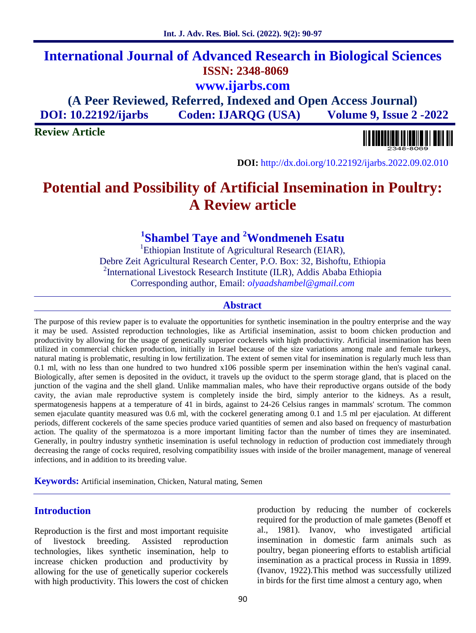# **International Journal of Advanced Research in Biological Sciences ISSN: 2348-8069 www.ijarbs.com**

**(A Peer Reviewed, Referred, Indexed and Open Access Journal) DOI: 10.22192/ijarbs Coden: IJARQG (USA) Volume 9, Issue 2 -2022**

**Review Article**



**DOI:** http://dx.doi.org/10.22192/ijarbs.2022.09.02.010

# **Potential and Possibility of Artificial Insemination in Poultry: A Review article**

# **<sup>1</sup>Shambel Taye and <sup>2</sup>Wondmeneh Esatu**

<sup>1</sup>Ethiopian Institute of Agricultural Research (EIAR), Debre Zeit Agricultural Research Center, P.O. Box: 32, Bishoftu, Ethiopia <sup>2</sup>International Livestock Research Institute (ILR), Addis Ababa Ethiopia Corresponding author, Email: *olyaadshambel@gmail.com*

### **Abstract**

The purpose of this review paper is to evaluate the opportunities for synthetic insemination in the poultry enterprise and the way it may be used. Assisted reproduction technologies, like as Artificial insemination, assist to boom chicken production and productivity by allowing for the usage of genetically superior cockerels with high productivity. Artificial insemination has been utilized in commercial chicken production, initially in Israel because of the size variations among male and female turkeys, natural mating is problematic, resulting in low fertilization. The extent of semen vital for insemination is regularly much less than 0.1 ml, with no less than one hundred to two hundred x106 possible sperm per insemination within the hen's vaginal canal. Biologically, after semen is deposited in the oviduct, it travels up the oviduct to the sperm storage gland, that is placed on the junction of the vagina and the shell gland. Unlike mammalian males, who have their reproductive organs outside of the body cavity, the avian male reproductive system is completely inside the bird, simply anterior to the kidneys. As a result, spermatogenesis happens at a temperature of 41 in birds, against to 24-26 Celsius ranges in mammals' scrotum. The common semen ejaculate quantity measured was 0.6 ml, with the cockerel generating among 0.1 and 1.5 ml per ejaculation. At different periods, different cockerels of the same species produce varied quantities of semen and also based on frequency of masturbation action. The quality of the spermatozoa is a more important limiting factor than the number of times they are inseminated. Generally, in poultry industry synthetic insemination is useful technology in reduction of production cost immediately through decreasing the range of cocks required, resolving compatibility issues with inside of the broiler management, manage of venereal infections, and in addition to its breeding value.

**Keywords:** Artificial insemination, Chicken, Natural mating, Semen

# **Introduction**

Reproduction is the first and most important requisite of livestock breeding. Assisted reproduction technologies, likes synthetic insemination, help to increase chicken production and productivity by allowing for the use of genetically superior cockerels with high productivity. This lowers the cost of chicken production by reducing the number of cockerels required for the production of male gametes (Benoff et al., 1981). Ivanov, who investigated artificial insemination in domestic farm animals such as poultry, began pioneering efforts to establish artificial insemination as a practical process in Russia in 1899. (Ivanov, 1922).This method was successfully utilized in birds for the first time almost a century ago, when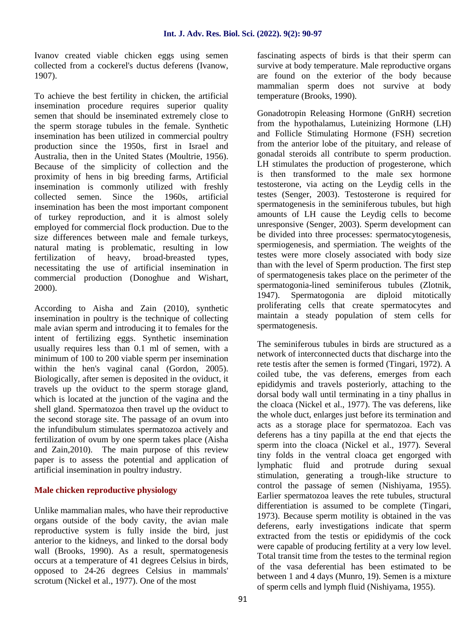Ivanov created viable chicken eggs using semen collected from a cockerel's ductus deferens (Ivanow, 1907).

To achieve the best fertility in chicken, the artificial insemination procedure requires superior quality semen that should be inseminated extremely close to the sperm storage tubules in the female. Synthetic insemination has been utilized in commercial poultry production since the 1950s, first in Israel and Australia, then in the United States (Moultrie, 1956). Because of the simplicity of collection and the proximity of hens in big breeding farms, Artificial insemination is commonly utilized with freshly collected semen. Since the 1960s, artificial insemination has been the most important component of turkey reproduction, and it is almost solely employed for commercial flock production. Due to the size differences between male and female turkeys, natural mating is problematic, resulting in low fertilization of heavy, broad-breasted types, necessitating the use of artificial insemination in commercial production (Donoghue and Wishart, 2000).

According to Aisha and Zain (2010), synthetic insemination in poultry is the technique of collecting male avian sperm and introducing it to females for the intent of fertilizing eggs. Synthetic insemination usually requires less than 0.1 ml of semen, with a minimum of 100 to 200 viable sperm per insemination within the hen's vaginal canal (Gordon, 2005). Biologically, after semen is deposited in the oviduct, it travels up the oviduct to the sperm storage gland, which is located at the junction of the vagina and the shell gland. Spermatozoa then travel up the oviduct to the second storage site. The passage of an ovum into the infundibulum stimulates spermatozoa actively and fertilization of ovum by one sperm takes place (Aisha and Zain,2010). The main purpose of this review paper is to assess the potential and application of artificial insemination in poultry industry.

# **Male chicken reproductive physiology**

Unlike mammalian males, who have their reproductive organs outside of the body cavity, the avian male reproductive system is fully inside the bird, just anterior to the kidneys, and linked to the dorsal body wall (Brooks, 1990). As a result, spermatogenesis occurs at a temperature of 41 degrees Celsius in birds, opposed to 24-26 degrees Celsius in mammals' scrotum (Nickel et al., 1977). One of the most

fascinating aspects of birds is that their sperm can survive at body temperature. Male reproductive organs are found on the exterior of the body because mammalian sperm does not survive at body temperature (Brooks, 1990).

Gonadotropin Releasing Hormone (GnRH) secretion from the hypothalamus, Luteinizing Hormone (LH) and Follicle Stimulating Hormone (FSH) secretion from the anterior lobe of the pituitary, and release of gonadal steroids all contribute to sperm production. LH stimulates the production of progesterone, which is then transformed to the male sex hormone testosterone, via acting on the Leydig cells in the testes (Senger, 2003). Testosterone is required for spermatogenesis in the seminiferous tubules, but high amounts of LH cause the Leydig cells to become unresponsive (Senger, 2003). Sperm development can be divided into three processes: spermatocytogenesis, spermiogenesis, and spermiation. The weights of the testes were more closely associated with body size than with the level of Sperm production. The first step of spermatogenesis takes place on the perimeter of the spermatogonia-lined seminiferous tubules (Zlotnik, 1947). Spermatogonia are diploid mitotically proliferating cells that create spermatocytes and maintain a steady population of stem cells for spermatogenesis.

The seminiferous tubules in birds are structured as a network of interconnected ducts that discharge into the rete testis after the semen is formed (Tingari, 1972). A coiled tube, the vas deferens, emerges from each epididymis and travels posteriorly, attaching to the dorsal body wall until terminating in a tiny phallus in the cloaca (Nickel et al., 1977). The vas deferens, like the whole duct, enlarges just before its termination and acts as a storage place for spermatozoa. Each vas deferens has a tiny papilla at the end that ejects the sperm into the cloaca (Nickel et al., 1977). Several tiny folds in the ventral cloaca get engorged with lymphatic fluid and protrude during sexual stimulation, generating a trough-like structure to control the passage of semen (Nishiyama, 1955). Earlier spermatozoa leaves the rete tubules, structural differentiation is assumed to be complete (Tingari, 1973). Because sperm motility is obtained in the vas deferens, early investigations indicate that sperm extracted from the testis or epididymis of the cock were capable of producing fertility at a very low level. Total transit time from the testes to the terminal region of the vasa deferential has been estimated to be between 1 and 4 days (Munro, 19). Semen is a mixture of sperm cells and lymph fluid (Nishiyama, 1955).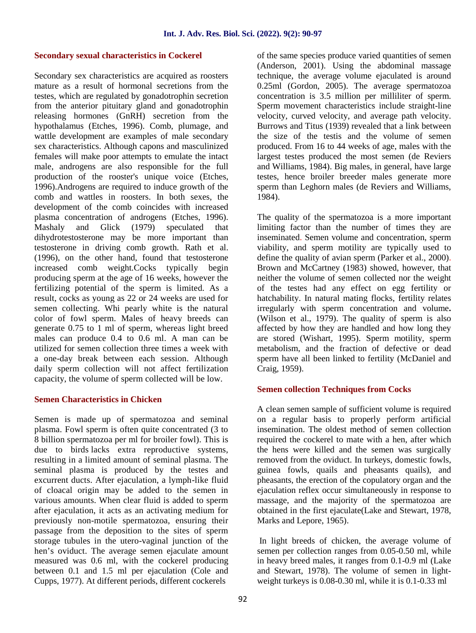#### **Secondary sexual characteristics in Cockerel**

Secondary sex characteristics are acquired as roosters mature as a result of hormonal secretions from the testes, which are regulated by gonadotrophin secretion from the anterior pituitary gland and gonadotrophin releasing hormones (GnRH) secretion from the hypothalamus (Etches, 1996). Comb, plumage, and wattle development are examples of male secondary sex characteristics. Although capons and masculinized females will make poor attempts to emulate the intact male, androgens are also responsible for the full production of the rooster's unique voice (Etches, 1996).Androgens are required to induce growth of the comb and wattles in roosters. In both sexes, the development of the comb coincides with increased plasma concentration of androgens (Etches, 1996). Mashaly and Glick (1979) speculated that dihydrotestosterone may be more important than testosterone in driving comb growth. Rath et al. (1996), on the other hand, found that testosterone increased comb weight.Cocks typically begin producing sperm at the age of 16 weeks, however the fertilizing potential of the sperm is limited. As a result, cocks as young as 22 or 24 weeks are used for semen collecting. Whi pearly white is the natural color of fowl sperm. Males of heavy breeds can generate 0.75 to 1 ml of sperm, whereas light breed males can produce 0.4 to 0.6 ml. A man can be utilized for semen collection three times a week with a one-day break between each session. Although daily sperm collection will not affect fertilization capacity, the volume of sperm collected will be low.

#### **Semen Characteristics in Chicken**

Semen is made up of spermatozoa and seminal plasma. Fowl sperm is often quite concentrated (3 to 8 billion spermatozoa per ml for broiler fowl). This is due to birds lacks extra reproductive systems, resulting in a limited amount of seminal plasma. The seminal plasma is produced by the testes and excurrent ducts. After ejaculation, a lymph-like fluid of cloacal origin may be added to the semen in various amounts. When clear fluid is added to sperm after ejaculation, it acts as an activating medium for previously non-motile spermatozoa, ensuring their passage from the deposition to the sites of sperm storage tubules in the utero-vaginal junction of the hen's oviduct. The average semen ejaculate amount measured was 0.6 ml, with the cockerel producing between 0.1 and 1.5 ml per ejaculation (Cole and Cupps, 1977). At different periods, different cockerels

of the same species produce varied quantities of semen (Anderson, 2001). Using the abdominal massage technique, the average volume ejaculated is around 0.25ml (Gordon, 2005). The average spermatozoa concentration is 3.5 million per milliliter of sperm. Sperm movement characteristics include straight-line velocity, curved velocity, and average path velocity. Burrows and Titus (1939) revealed that a link between the size of the testis and the volume of semen produced. From 16 to 44 weeks of age, males with the largest testes produced the most semen (de Reviers and Williams, 1984). Big males, in general, have large testes, hence broiler breeder males generate more sperm than Leghorn males (de Reviers and Williams, 1984).

The quality of the spermatozoa is a more important limiting factor than the number of times they are inseminated. Semen volume and concentration, sperm viability, and sperm motility are typically used to define the quality of avian sperm (Parker et al., 2000). Brown and McCartney (1983) showed, however, that neither the volume of semen collected nor the weight of the testes had any effect on egg fertility or hatchability. In natural mating flocks, fertility relates irregularly with sperm concentration and volume**.** (Wilson et al., 1979). The quality of sperm is also affected by how they are handled and how long they are stored (Wishart, 1995). Sperm motility, sperm metabolism, and the fraction of defective or dead sperm have all been linked to fertility (McDaniel and Craig, 1959).

## **Semen collection Techniques from Cocks**

A clean semen sample of sufficient volume is required on a regular basis to properly perform artificial insemination. The oldest method of semen collection required the cockerel to mate with a hen, after which the hens were killed and the semen was surgically removed from the oviduct. In turkeys, domestic fowls, guinea fowls, quails and pheasants quails), and pheasants, the erection of the copulatory organ and the ejaculation reflex occur simultaneously in response to massage, and the majority of the spermatozoa are obtained in the first ejaculate(Lake and Stewart, 1978, Marks and Lepore, 1965).

In light breeds of chicken, the average volume of semen per collection ranges from 0.05-0.50 ml, while in heavy breed males, it ranges from 0.1-0.9 ml (Lake and Stewart, 1978). The volume of semen in light weight turkeys is 0.08-0.30 ml, while it is 0.1-0.33 ml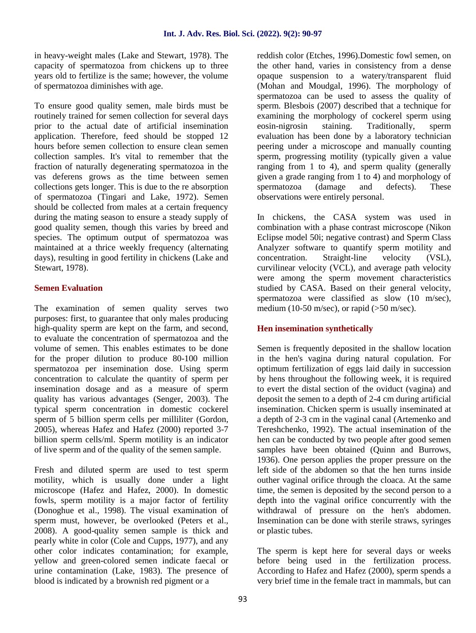in heavy-weight males (Lake and Stewart, 1978). The capacity of spermatozoa from chickens up to three years old to fertilize is the same; however, the volume of spermatozoa diminishes with age.

To ensure good quality semen, male birds must be routinely trained for semen collection for several days prior to the actual date of artificial insemination application. Therefore, feed should be stopped 12 hours before semen collection to ensure clean semen collection samples. It's vital to remember that the fraction of naturally degenerating spermatozoa in the vas deferens grows as the time between semen collections gets longer. This is due to the re absorption of spermatozoa (Tingari and Lake, 1972). Semen should be collected from males at a certain frequency during the mating season to ensure a steady supply of good quality semen, though this varies by breed and species. The optimum output of spermatozoa was maintained at a thrice weekly frequency (alternating days), resulting in good fertility in chickens (Lake and concentration. Stewart, 1978).

## **Semen Evaluation**

The examination of semen quality serves two purposes: first, to guarantee that only males producing high-quality sperm are kept on the farm, and second, to evaluate the concentration of spermatozoa and the volume of semen. This enables estimates to be done for the proper dilution to produce 80-100 million spermatozoa per insemination dose. Using sperm concentration to calculate the quantity of sperm per insemination dosage and as a measure of sperm quality has various advantages (Senger, 2003). The typical sperm concentration in domestic cockerel sperm of 5 billion sperm cells per milliliter (Gordon, 2005), whereas Hafez and Hafez (2000) reported 3-7 billion sperm cells/ml. Sperm motility is an indicator of live sperm and of the quality of the semen sample.

Fresh and diluted sperm are used to test sperm motility, which is usually done under a light microscope (Hafez and Hafez, 2000). In domestic fowls, sperm motility is a major factor of fertility (Donoghue et al., 1998). The visual examination of sperm must, however, be overlooked (Peters et al., 2008). A good-quality semen sample is thick and pearly white in color (Cole and Cupps, 1977), and any other color indicates contamination; for example, yellow and green-colored semen indicate faecal or urine contamination (Lake, 1983). The presence of blood is indicated by a brownish red pigment or a

reddish color (Etches, 1996).Domestic fowl semen, on the other hand, varies in consistency from a dense opaque suspension to a watery/transparent fluid (Mohan and Moudgal, 1996). The morphology of spermatozoa can be used to assess the quality of sperm. Blesbois (2007) described that a technique for examining the morphology of cockerel sperm using eosin-nigrosin staining. Traditionally, sperm evaluation has been done by a laboratory technician peering under a microscope and manually counting sperm, progressing motility (typically given a value ranging from 1 to 4), and sperm quality (generally given a grade ranging from 1 to 4) and morphology of spermatozoa (damage and defects). These observations were entirely personal.

In chickens, the CASA system was used in combination with a phase contrast microscope (Nikon Eclipse model 50i; negative contrast) and Sperm Class Analyzer software to quantify sperm motility and Straight-line velocity (VSL), curvilinear velocity (VCL), and average path velocity were among the sperm movement characteristics studied by CASA. Based on their general velocity, spermatozoa were classified as slow (10 m/sec), medium (10-50 m/sec), or rapid ( $>50$  m/sec).

## **Hen insemination synthetically**

Semen is frequently deposited in the shallow location in the hen's vagina during natural copulation. For optimum fertilization of eggs laid daily in succession by hens throughout the following week, it is required to evert the distal section of the oviduct (vagina) and deposit the semen to a depth of 2-4 cm during artificial insemination. Chicken sperm is usually inseminated at a depth of 2-3 cm in the vaginal canal (Artemenko and Tereshchenko, 1992). The actual insemination of the hen can be conducted by two people after good semen samples have been obtained (Quinn and Burrows, 1936). One person applies the proper pressure on the left side of the abdomen so that the hen turns inside outher vaginal orifice through the cloaca. At the same time, the semen is deposited by the second person to a depth into the vaginal orifice concurrently with the withdrawal of pressure on the hen's abdomen. Insemination can be done with sterile straws, syringes or plastic tubes.

The sperm is kept here for several days or weeks before being used in the fertilization process. According to Hafez and Hafez (2000), sperm spends a very brief time in the female tract in mammals, but can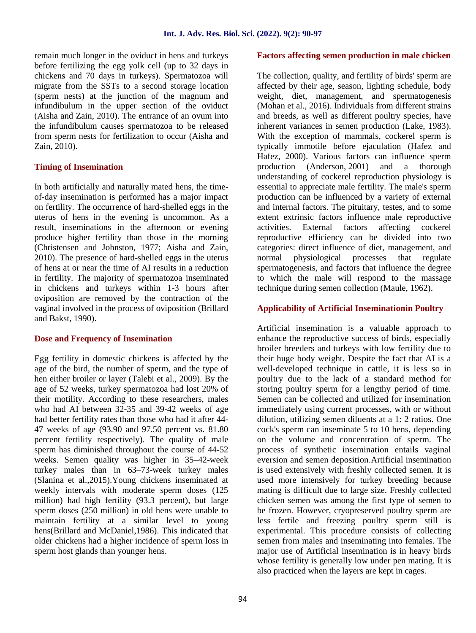remain much longer in the oviduct in hens and turkeys before fertilizing the egg yolk cell (up to 32 days in chickens and 70 days in turkeys). Spermatozoa will migrate from the SSTs to a second storage location (sperm nests) at the junction of the magnum and infundibulum in the upper section of the oviduct (Aisha and Zain, 2010). The entrance of an ovum into the infundibulum causes spermatozoa to be released from sperm nests for fertilization to occur (Aisha and Zain, 2010).

#### **Timing of Insemination**

In both artificially and naturally mated hens, the time of-day insemination is performed has a major impact on fertility. The occurrence of hard-shelled eggs in the uterus of hens in the evening is uncommon. As a result, inseminations in the afternoon or evening activities. produce higher fertility than those in the morning (Christensen and Johnston, 1977; Aisha and Zain, 2010). The presence of hard-shelled eggs in the uterus of hens at or near the time of AI results in a reduction in fertility. The majority of spermatozoa inseminated in chickens and turkeys within 1-3 hours after oviposition are removed by the contraction of the vaginal involved in the process of oviposition (Brillard and Bakst, 1990).

#### **Dose and Frequency of Insemination**

Egg fertility in domestic chickens is affected by the age of the bird, the number of sperm, and the type of hen either broiler or layer (Talebi et al., 2009). By the age of 52 weeks, turkey spermatozoa had lost 20% of their motility. According to these researchers, males who had AI between 32-35 and 39-42 weeks of age had better fertility rates than those who had it after 44- 47 weeks of age (93.90 and 97.50 percent vs. 81.80 percent fertility respectively). The quality of male sperm has diminished throughout the course of 44-52 weeks. Semen quality was higher in 35–42-week turkey males than in 63–73-week turkey males (Slanina et al.,2015).Young chickens inseminated at weekly intervals with moderate sperm doses (125 million) had high fertility (93.3 percent), but large sperm doses (250 million) in old hens were unable to maintain fertility at a similar level to young hens(Brillard and McDaniel,1986). This indicated that older chickens had a higher incidence of sperm loss in sperm host glands than younger hens.

## **Factors affecting semen production in male chicken**

The collection, quality, and fertility of birds' sperm are affected by their age, season, lighting schedule, body weight, diet, management, and spermatogenesis (Mohan et al., 2016). Individuals from different strains and breeds, as well as different poultry species, have inherent variances in semen production (Lake, 1983). With the exception of mammals, cockerel sperm is typically immotile before ejaculation (Hafez and Hafez, 2000). Various factors can influence sperm production (Anderson, 2001) and a thorough understanding of cockerel reproduction physiology is essential to appreciate male fertility. The male's sperm production can be influenced by a variety of external and internal factors. The pituitary, testes, and to some extent extrinsic factors influence male reproductive External factors affecting cockerel reproductive efficiency can be divided into two categories: direct influence of diet, management, and normal physiological processes that regulate spermatogenesis, and factors that influence the degree to which the male will respond to the massage technique during semen collection (Maule, 1962).

### **Applicability of Artificial Inseminationin Poultry**

Artificial insemination is a valuable approach to enhance the reproductive success of birds, especially broiler breeders and turkeys with low fertility due to their huge body weight. Despite the fact that AI is a well-developed technique in cattle, it is less so in poultry due to the lack of a standard method for storing poultry sperm for a lengthy period of time. Semen can be collected and utilized for insemination immediately using current processes, with or without dilution, utilizing semen diluents at a 1: 2 ratios. One cock's sperm can inseminate 5 to 10 hens, depending on the volume and concentration of sperm. The process of synthetic insemination entails vaginal eversion and semen deposition.Artificial insemination is used extensively with freshly collected semen. It is used more intensively for turkey breeding because mating is difficult due to large size. Freshly collected chicken semen was among the first type of semen to be frozen. However, cryopreserved poultry sperm are less fertile and freezing poultry sperm still is experimental. This procedure consists of collecting semen from males and inseminating into females. The major use of Artificial insemination is in heavy birds whose fertility is generally low under pen mating. It is also practiced when the layers are kept in cages.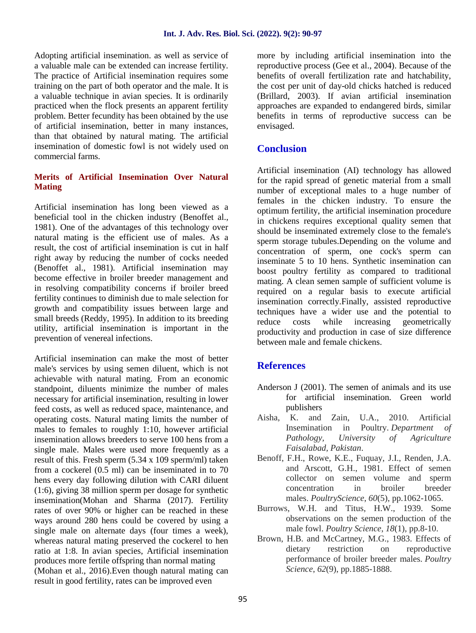Adopting artificial insemination. as well as service of a valuable male can be extended can increase fertility. The practice of Artificial insemination requires some training on the part of both operator and the male. It is a valuable technique in avian species. It is ordinarily practiced when the flock presents an apparent fertility problem. Better fecundity has been obtained by the use of artificial insemination, better in many instances, than that obtained by natural mating. The artificial insemination of domestic fowl is not widely used on commercial farms.

### **Merits of Artificial Insemination Over Natural Mating**

Artificial insemination has long been viewed as a beneficial tool in the chicken industry (Benoffet al., 1981). One of the advantages of this technology over natural mating is the efficient use of males. As a result, the cost of artificial insemination is cut in half right away by reducing the number of cocks needed (Benoffet al., 1981). Artificial insemination may become effective in broiler breeder management and in resolving compatibility concerns if broiler breed fertility continues to diminish due to male selection for growth and compatibility issues between large and small breeds (Reddy, 1995). In addition to its breeding reduce utility, artificial insemination is important in the prevention of venereal infections.

Artificial insemination can make the most of better male's services by using semen diluent, which is not achievable with natural mating. From an economic standpoint, diluents minimize the number of males necessary for artificial insemination, resulting in lower feed costs, as well as reduced space, maintenance, and publishers<br>
operating costs Natural mating limits the number of Aisha. K. and Zain. operating costs. Natural mating limits the number of males to females to roughly 1:10, however artificial insemination allows breeders to serve 100 hens from a single male. Males were used more frequently as a result of this. Fresh sperm (5.34 x 109 sperm/ml) taken from a cockerel (0.5 ml) can be inseminated in to 70 hens every day following dilution with CARI diluent (1:6), giving 38 million sperm per dosage for synthetic insemination(Mohan and Sharma (2017). Fertility rates of over 90% or higher can be reached in these ways around 280 hens could be covered by using a single male on alternate days (four times a week), whereas natural mating preserved the cockerel to hen ratio at 1:8. In avian species, Artificial insemination produces more fertile offspring than normal mating (Mohan et al., 2016).Even though natural mating can result in good fertility, rates can be improved even

more by including artificial insemination into the reproductive process (Gee et al., 2004). Because of the benefits of overall fertilization rate and hatchability, the cost per unit of day-old chicks hatched is reduced (Brillard, 2003). If avian artificial insemination approaches are expanded to endangered birds, similar benefits in terms of reproductive success can be envisaged.

# **Conclusion**

Artificial insemination (AI) technology has allowed for the rapid spread of genetic material from a small number of exceptional males to a huge number of females in the chicken industry. To ensure the optimum fertility, the artificial insemination procedure in chickens requires exceptional quality semen that should be inseminated extremely close to the female's sperm storage tubules.Depending on the volume and concentration of sperm, one cock's sperm can inseminate 5 to 10 hens. Synthetic insemination can boost poultry fertility as compared to traditional mating. A clean semen sample of sufficient volume is required on a regular basis to execute artificial insemination correctly.Finally, assisted reproductive techniques have a wider use and the potential to costs while increasing geometrically productivity and production in case of size difference between male and female chickens.

# **References**

- Anderson J (2001). The semen of animals and its use for artificial insemination. Green world publishers
- U.A., 2010. Artificial Insemination in Poultry. *Department of Pathology, University of Agriculture Faisalabad, Pakistan*.
- Benoff, F.H., Rowe, K.E., Fuquay, J.I., Renden, J.A. and Arscott, G.H., 1981. Effect of semen collector on semen volume and sperm concentration in broiler breeder males. *PoultryScience*, *60*(5), pp.1062-1065.
- Burrows, W.H. and Titus, H.W., 1939. Some observations on the semen production of the male fowl. *Poultry Science*, *18*(1), pp.8-10.
- Brown, H.B. and McCartney, M.G., 1983. Effects of dietary restriction on reproductive performance of broiler breeder males. *Poultry Science*, *62*(9), pp.1885-1888.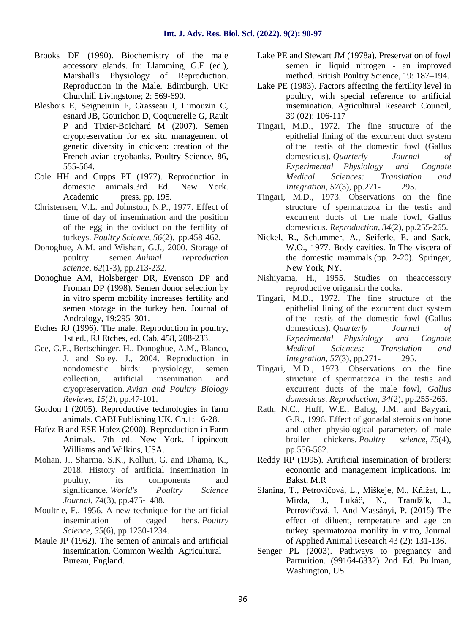- Brooks DE (1990). Biochemistry of the male accessory glands. In: Llamming, G.E (ed.), Marshall's Physiology of Reproduction. Reproduction in the Male. Edimburgh, UK: Churchill Livingstone; 2: 569-690.
- Blesbois E, Seigneurin F, Grasseau I, Limouzin C, esnard JB, Gourichon D, Coquuerelle G, Rault P and Tixier-Boichard M (2007). Semen cryopreservation for ex situ management of genetic diversity in chicken: creation of the French avian cryobanks. Poultry Science, 86, 555-564.
- Cole HH and Cupps PT (1977). Reproduction in domestic animals.3rd Ed. New York. Academic press. pp. 195.
- Christensen, V.L. and Johnston, N.P., 1977. Effect of time of day of insemination and the position of the egg in the oviduct on the fertility of turkeys. *Poultry Science*, *56*(2), pp.458-462.
- Donoghue, A.M. and Wishart, G.J., 2000. Storage of poultry semen. *Animal reproduction science*, *62*(1-3), pp.213-232.
- Donoghue AM, Holsberger DR, Evenson DP and Froman DP (1998). Semen donor selection by in vitro sperm mobility increases fertility and semen storage in the turkey hen. Journal of Andrology, 19:295–301.
- Etches RJ (1996). The male. Reproduction in poultry, 1st ed., RJ Etches, ed. Cab, 458, 208-233.
- Gee, G.F., Bertschinger, H., Donoghue, A.M., Blanco, J. and Soley, J., 2004. Reproduction in nondomestic birds: physiology, semen collection, artificial insemination and cryopreservation. *Avian and Poultry Biology Reviews*, *15*(2), pp.47-101.
- Gordon I (2005). Reproductive technologies in farm animals. CABI Publishing UK. Ch.1: 16-28.
- Hafez B and ESE Hafez (2000). Reproduction in Farm Animals. 7th ed. New York. Lippincott Williams and Wilkins, USA.
- Mohan, J., Sharma, S.K., Kolluri, G. and Dhama, K., 2018. History of artificial insemination in poultry, its components and significance. *World's Poultry Science Journal*, *74*(3), pp.475- 488.
- Moultrie, F., 1956. A new technique for the artificial insemination of caged hens. *Poultry Science*, *35*(6), pp.1230-1234.
- Maule JP (1962). The semen of animals and artificial insemination. Common Wealth Agricultural Bureau, England.
- Lake PE and Stewart JM (1978a). Preservation of fowl semen in liquid nitrogen - an improved method. British Poultry Science, 19: 187–194.
- Lake PE (1983). Factors affecting the fertility level in poultry, with special reference to artificial insemination. Agricultural Research Council, 39 (02): 106-117
- Tingari, M.D., 1972. The fine structure of the epithelial lining of the excurrent duct system of the testis of the domestic fowl (Gallus domesticus). *Quarterly Journal of Experimental Physiology and Cognate Medical Sciences: Translation and Integration*, *57*(3), pp.271- 295.
- Tingari, M.D., 1973. Observations on the fine structure of spermatozoa in the testis and excurrent ducts of the male fowl, Gallus domesticus. *Reproduction*, *34*(2), pp.255-265.
- Nickel, R., Schummer, A., Seiferle, E. and Sack, W.O., 1977. Body cavities. In The viscera of the domestic mammals (pp. 2-20). Springer, New York, NY.
- Nishiyama, H., 1955. Studies on theaccessory reproductive origansin the cocks.
- Tingari, M.D., 1972. The fine structure of the epithelial lining of the excurrent duct system of the testis of the domestic fowl (Gallus domesticus). *Quarterly Journal of Experimental Physiology and Cognate Medical Sciences: Translation and Integration*, *57*(3), pp.271- 295.
- Tingari, M.D., 1973. Observations on the fine structure of spermatozoa in the testis and excurrent ducts of the male fowl, *Gallus domesticus*. *Reproduction*, *34*(2), pp.255-265.
- Rath, N.C., Huff, W.E., Balog, J.M. and Bayyari, G.R., 1996. Effect of gonadal steroids on bone and other physiological parameters of male broiler chickens. *Poultry science*, *75*(4), pp.556-562.
- Reddy RP (1995). Artificial insemination of broilers: economic and management implications. In: Bakst, M.R
- Slanina, T., Petrovi ová, L., Miškeje, M., K ížat, L., Mirda, J., Luká, N., Trandžík, J., Petrovi ová, I. And Massányi, P. (2015) The effect of diluent, temperature and age on turkey spermatozoa motility in vitro, Journal of Applied Animal Research 43 (2): 131-136.
- Senger PL (2003). Pathways to pregnancy and Parturition. (99164-6332) 2nd Ed. Pullman, Washington, US.